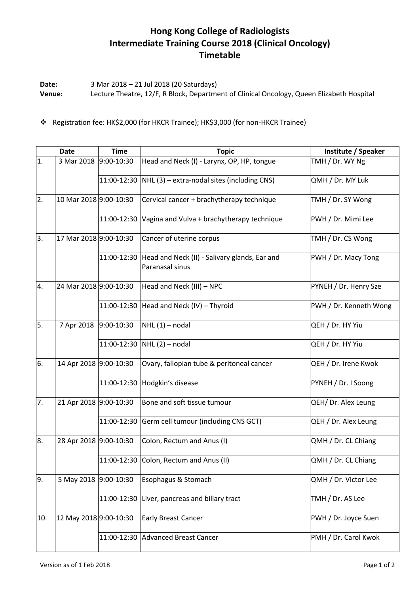## **Hong Kong College of Radiologists Intermediate Training Course 2018 (Clinical Oncology) Timetable**

**Date:** 3 Mar 2018 – 21 Jul 2018 (20 Saturdays) **Venue:** Lecture Theatre, 12/F, R Block, Department of Clinical Oncology, Queen Elizabeth Hospital

Registration fee: HK\$2,000 (for HKCR Trainee); HK\$3,000 (for non-HKCR Trainee)

|     | <b>Date</b>            | <b>Time</b>    | <b>Topic</b>                                                     | Institute / Speaker    |
|-----|------------------------|----------------|------------------------------------------------------------------|------------------------|
| 1.  | 3 Mar 2018             | $9:00-10:30$   | Head and Neck (I) - Larynx, OP, HP, tongue                       | TMH / Dr. WY Ng        |
|     |                        |                | 11:00-12:30 $ NHL(3)$ – extra-nodal sites (including CNS)        | QMH / Dr. MY Luk       |
| 2.  | 10 Mar 2018 9:00-10:30 |                | Cervical cancer + brachytherapy technique                        | TMH / Dr. SY Wong      |
|     |                        | 11:00-12:30    | Vagina and Vulva + brachytherapy technique                       | PWH / Dr. Mimi Lee     |
| 3.  | 17 Mar 2018 9:00-10:30 |                | Cancer of uterine corpus                                         | TMH / Dr. CS Wong      |
|     |                        | 11:00-12:30    | Head and Neck (II) - Salivary glands, Ear and<br>Paranasal sinus | PWH / Dr. Macy Tong    |
| 4.  | 24 Mar 2018 9:00-10:30 |                | Head and Neck (III) - NPC                                        | PYNEH / Dr. Henry Sze  |
|     |                        |                | 11:00-12:30 Head and Neck (IV) - Thyroid                         | PWH / Dr. Kenneth Wong |
| 5.  | 7 Apr 2018             | $9:00 - 10:30$ | $NHL(1)$ – nodal                                                 | QEH / Dr. HY Yiu       |
|     |                        |                | 11:00-12:30 NHL (2) - nodal                                      | QEH / Dr. HY Yiu       |
| 6.  | 14 Apr 2018 9:00-10:30 |                | Ovary, fallopian tube & peritoneal cancer                        | QEH / Dr. Irene Kwok   |
|     |                        | 11:00-12:30    | Hodgkin's disease                                                | PYNEH / Dr. I Soong    |
| 7.  | 21 Apr 2018 9:00-10:30 |                | Bone and soft tissue tumour                                      | QEH/ Dr. Alex Leung    |
|     |                        |                | 11:00-12:30 Germ cell tumour (including CNS GCT)                 | QEH / Dr. Alex Leung   |
| 8.  | 28 Apr 2018 9:00-10:30 |                | Colon, Rectum and Anus (I)                                       | QMH / Dr. CL Chiang    |
|     |                        |                | 11:00-12:30 Colon, Rectum and Anus (II)                          | QMH / Dr. CL Chiang    |
| 9.  | 5 May 2018 9:00-10:30  |                | Esophagus & Stomach                                              | QMH / Dr. Victor Lee   |
|     |                        | 11:00-12:30    | Liver, pancreas and biliary tract                                | TMH / Dr. AS Lee       |
| 10. | 12 May 2018 9:00-10:30 |                | <b>Early Breast Cancer</b>                                       | PWH / Dr. Joyce Suen   |
|     |                        | 11:00-12:30    | <b>Advanced Breast Cancer</b>                                    | PMH / Dr. Carol Kwok   |